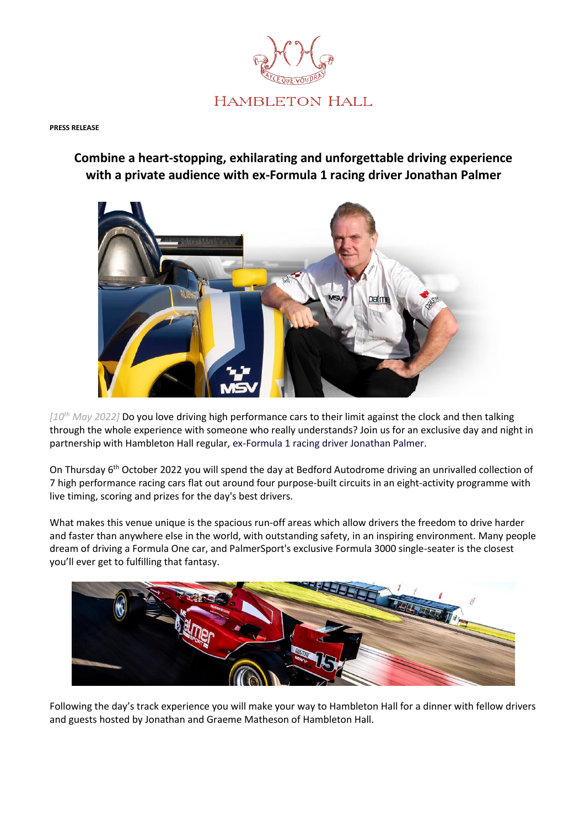

## **PRESS RELEASE**

## **Combine a heart-stopping, exhilarating and unforgettable driving experience with a private audience with ex-Formula 1 racing driver Jonathan Palmer**



*[10th May 2022]* Do you love driving high performance cars to their limit against the clock and then talking through the whole experience with someone who really understands? Join us for an exclusive day and night in partnership with Hambleton Hall regular, ex-Formula 1 racing driver Jonathan Palmer.

On Thursday 6th October 2022 you will spend the day at Bedford Autodrome driving an unrivalled collection of 7 high performance racing cars flat out around four purpose-built circuits in an eight-activity programme with live timing, scoring and prizes for the day's best drivers.

What makes this venue unique is the spacious run-off areas which allow drivers the freedom to drive harder and faster than anywhere else in the world, with outstanding safety, in an inspiring environment. Many people dream of driving a Formula One car, and PalmerSport's exclusive Formula 3000 single-seater is the closest you'll ever get to fulfilling that fantasy.



Following the day's track experience you will make your way to Hambleton Hall for a dinner with fellow drivers and guests hosted by Jonathan and Graeme Matheson of Hambleton Hall.